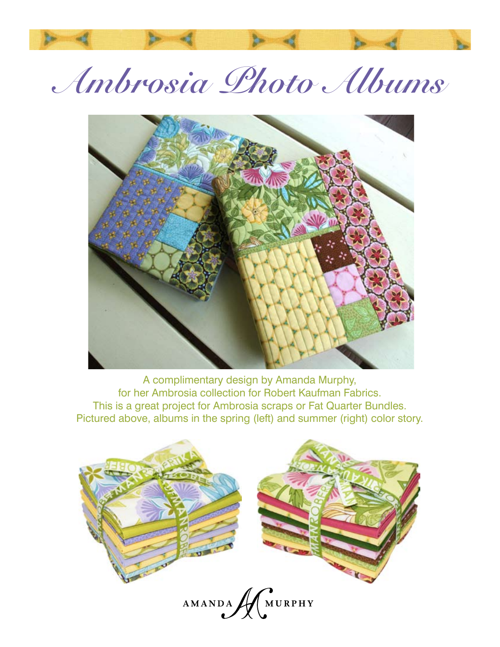# **Ambrosia Photo Albums**



A complimentary design by Amanda Murphy, for her Ambrosia collection for Robert Kaufman Fabrics. This is a great project for Ambrosia scraps or Fat Quarter Bundles. Pictured above, albums in the spring (left) and summer (right) color story.

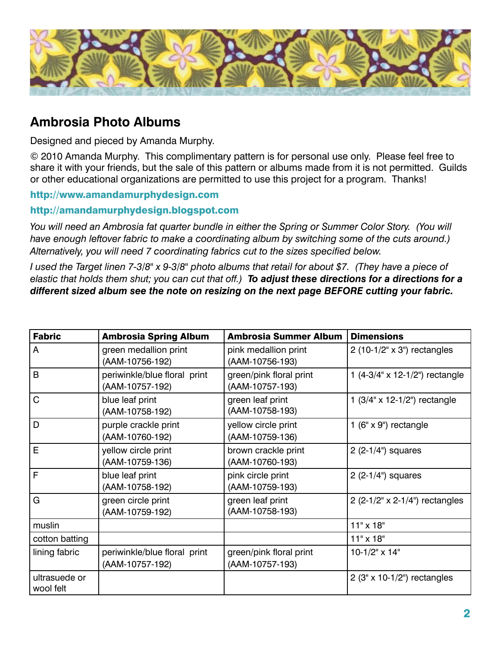

## **Ambrosia Photo Albums**

Designed and pieced by Amanda Murphy.

© 2010 Amanda Murphy. This complimentary pattern is for personal use only. Please feel free to share it with your friends, but the sale of this pattern or albums made from it is not permitted. Guilds or other educational organizations are permitted to use this project for a program. Thanks!

#### http://www.amandamurphydesign.com

#### http://amandamurphydesign.blogspot.com

*You will need an Ambrosia fat quarter bundle in either the Spring or Summer Color Story. (You will*  have enough leftover fabric to make a coordinating album by switching some of the cuts around.) *Alternatively, you will need 7 coordinating fabrics cut to the sizes specified below.*

*I used the Target linen 7-3/8" x 9-3/8" photo albums that retail for about \$7. (They have a piece of elastic that holds them shut; you can cut that off.) To adjust these directions for a directions for a different sized album see the note on resizing on the next page BEFORE cutting your fabric.*

| <b>Fabric</b>              | <b>Ambrosia Spring Album</b>                    | <b>Ambrosia Summer Album</b>               | <b>Dimensions</b>                     |
|----------------------------|-------------------------------------------------|--------------------------------------------|---------------------------------------|
| A                          | green medallion print<br>(AAM-10756-192)        | pink medallion print<br>(AAM-10756-193)    | 2 (10-1/2" x 3") rectangles           |
| B                          | periwinkle/blue floral print<br>(AAM-10757-192) | green/pink floral print<br>(AAM-10757-193) | 1 $(4-3/4" \times 12-1/2")$ rectangle |
| C                          | blue leaf print<br>(AAM-10758-192)              | green leaf print<br>(AAM-10758-193)        | 1 $(3/4" \times 12 - 1/2")$ rectangle |
| D                          | purple crackle print<br>(AAM-10760-192)         | yellow circle print<br>(AAM-10759-136)     | 1 ( $6" \times 9"$ ) rectangle        |
| E                          | yellow circle print<br>(AAM-10759-136)          | brown crackle print<br>(AAM-10760-193)     | $2(2-1/4")$ squares                   |
| F                          | blue leaf print<br>(AAM-10758-192)              | pink circle print<br>(AAM-10759-193)       | $2(2-1/4")$ squares                   |
| G                          | green circle print<br>(AAM-10759-192)           | green leaf print<br>(AAM-10758-193)        | 2 (2-1/2" x 2-1/4") rectangles        |
| muslin                     |                                                 |                                            | $11" \times 18"$                      |
| cotton batting             |                                                 |                                            | $11" \times 18"$                      |
| lining fabric              | periwinkle/blue floral print<br>(AAM-10757-192) | green/pink floral print<br>(AAM-10757-193) | $10-1/2"$ x 14"                       |
| ultrasuede or<br>wool felt |                                                 |                                            | 2 (3" x 10-1/2") rectangles           |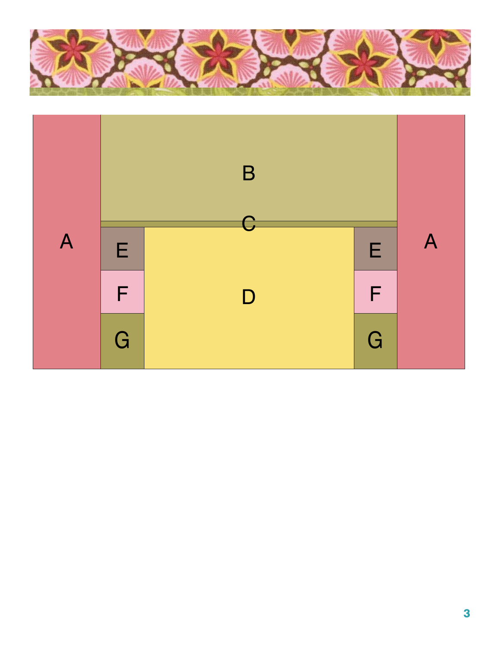